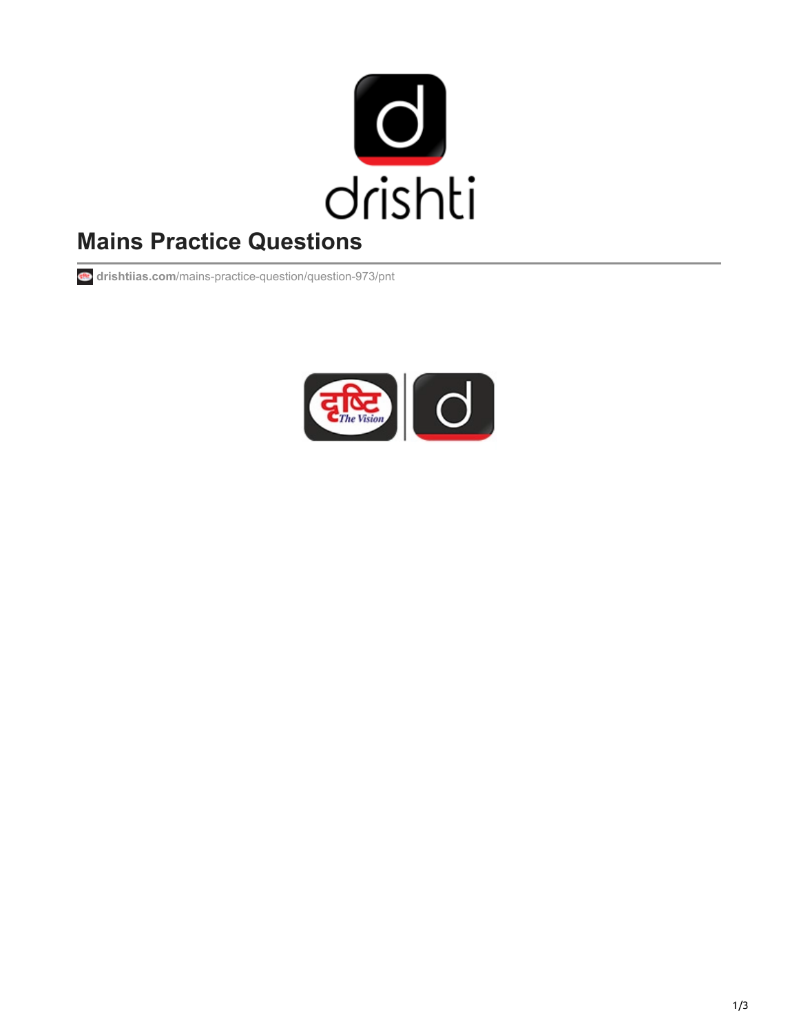

# **Mains Practice Questions**

**drishtiias.com**[/mains-practice-question/question-973/pnt](https://www.drishtiias.com/mains-practice-question/question-973/pnt)

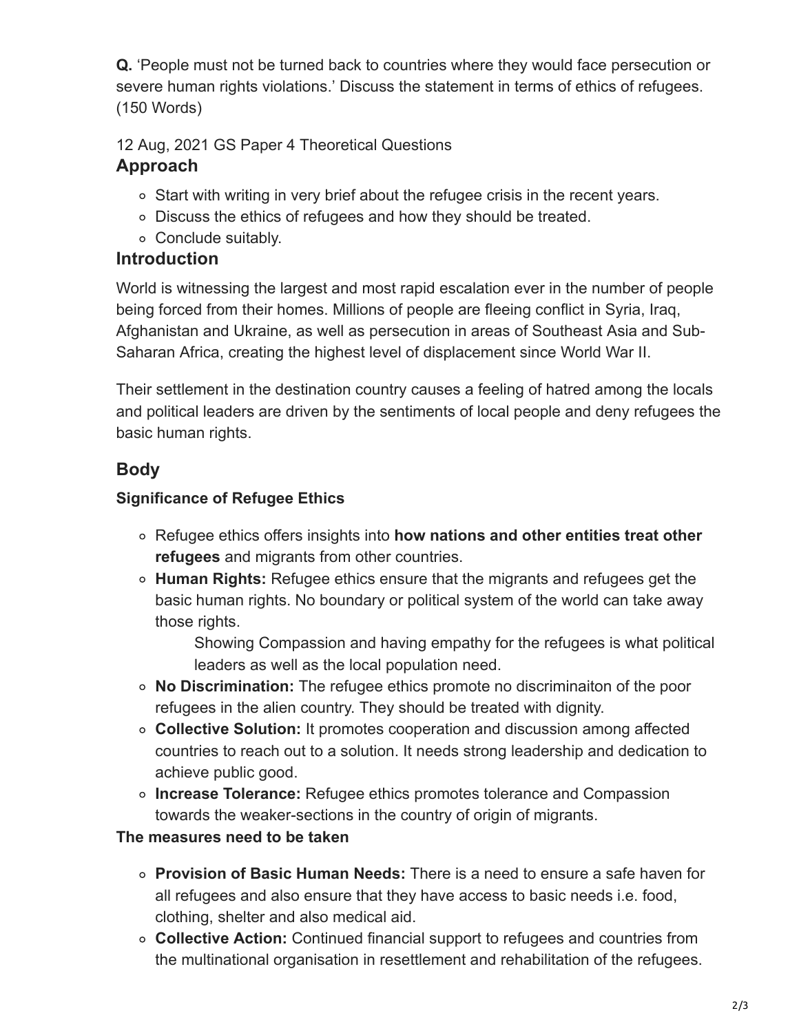**Q.** 'People must not be turned back to countries where they would face persecution or severe human rights violations.' Discuss the statement in terms of ethics of refugees. (150 Words)

12 Aug, 2021 GS Paper 4 Theoretical Questions

## **Approach**

- Start with writing in very brief about the refugee crisis in the recent years.
- Discuss the ethics of refugees and how they should be treated.
- Conclude suitably.

#### **Introduction**

World is witnessing the largest and most rapid escalation ever in the number of people being forced from their homes. Millions of people are fleeing conflict in Syria, Iraq, Afghanistan and Ukraine, as well as persecution in areas of Southeast Asia and Sub-Saharan Africa, creating the highest level of displacement since World War II.

Their settlement in the destination country causes a feeling of hatred among the locals and political leaders are driven by the sentiments of local people and deny refugees the basic human rights.

# **Body**

#### **Significance of Refugee Ethics**

- Refugee ethics offers insights into **how nations and other entities treat other refugees** and migrants from other countries.
- **Human Rights:** Refugee ethics ensure that the migrants and refugees get the basic human rights. No boundary or political system of the world can take away those rights.

Showing Compassion and having empathy for the refugees is what political leaders as well as the local population need.

- **No Discrimination:** The refugee ethics promote no discriminaiton of the poor refugees in the alien country. They should be treated with dignity.
- **Collective Solution:** It promotes cooperation and discussion among affected countries to reach out to a solution. It needs strong leadership and dedication to achieve public good.
- **Increase Tolerance:** Refugee ethics promotes tolerance and Compassion towards the weaker-sections in the country of origin of migrants.

#### **The measures need to be taken**

- **Provision of Basic Human Needs:** There is a need to ensure a safe haven for all refugees and also ensure that they have access to basic needs i.e. food, clothing, shelter and also medical aid.
- **Collective Action:** Continued financial support to refugees and countries from the multinational organisation in resettlement and rehabilitation of the refugees.